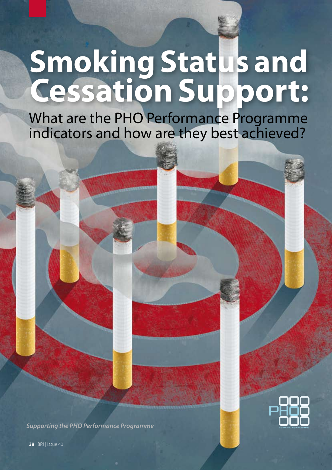# **Smoking Status and Cessation Support:**

What are the PHO Performance Programme indicators and how are they best achieved?

*Supporting the PHO Performance Programme*



**38** | BPJ | Issue 40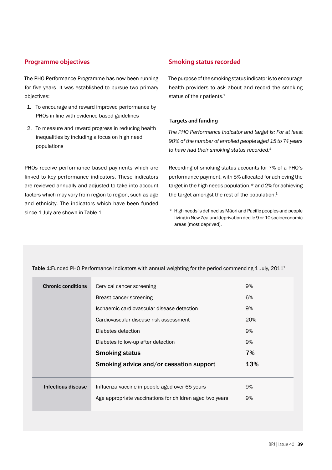# **Programme objectives**

The PHO Performance Programme has now been running for five years. It was established to pursue two primary objectives:

- 1. To encourage and reward improved performance by PHOs in line with evidence based guidelines
- 2. To measure and reward progress in reducing health inequalities by including a focus on high need populations

PHOs receive performance based payments which are linked to key performance indicators. These indicators are reviewed annually and adjusted to take into account factors which may vary from region to region, such as age and ethnicity. The indicators which have been funded since 1 July are shown in Table 1.

# **Smoking status recorded**

The purpose of the smoking status indicator is to encourage health providers to ask about and record the smoking status of their patients.<sup>1</sup>

## **Targets and funding**

*The PHO Performance Indicator and target is: For at least 90% of the number of enrolled people aged 15 to 74 years to have had their smoking status recorded*. 1

Recording of smoking status accounts for 7% of a PHO's performance payment, with 5% allocated for achieving the target in the high needs population,\* and 2% for achieving the target amongst the rest of the population.<sup>1</sup>

\* High needs is defined as Māori and Pacific peoples and people living in New Zealand deprivation decile 9 or 10 socioeconomic areas (most deprived).

| <b>Chronic conditions</b> | Cervical cancer screening                                | 9%  |
|---------------------------|----------------------------------------------------------|-----|
|                           | Breast cancer screening                                  | 6%  |
|                           | Ischaemic cardiovascular disease detection               | 9%  |
|                           | Cardiovascular disease risk assessment                   | 20% |
|                           | Diabetes detection                                       | 9%  |
|                           | Diabetes follow-up after detection                       | 9%  |
|                           | <b>Smoking status</b>                                    | 7%  |
|                           | Smoking advice and/or cessation support                  | 13% |
|                           |                                                          |     |
| Infectious disease        | Influenza vaccine in people aged over 65 years           | 9%  |
|                           | Age appropriate vaccinations for children aged two years | 9%  |
|                           |                                                          |     |

Table 1: Funded PHO Performance Indicators with annual weighting for the period commencing 1 July, 2011<sup>1</sup>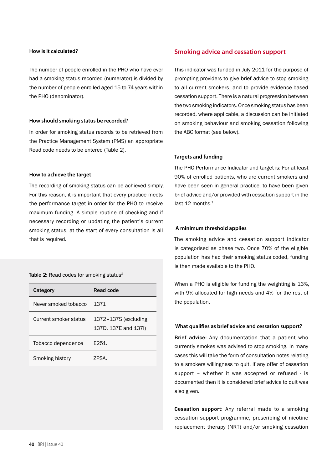#### **How is it calculated?**

The number of people enrolled in the PHO who have ever had a smoking status recorded (numerator) is divided by the number of people enrolled aged 15 to 74 years within the PHO (denominator).

#### **How should smoking status be recorded?**

In order for smoking status records to be retrieved from the Practice Management System (PMS) an appropriate Read code needs to be entered (Table 2).

#### **How to achieve the target**

The recording of smoking status can be achieved simply. For this reason, it is important that every practice meets the performance target in order for the PHO to receive maximum funding. A simple routine of checking and if necessary recording or updating the patient's current smoking status, at the start of every consultation is all that is required.

Table 2: Read codes for smoking status<sup>2</sup>

| Category              | Read code                                    |
|-----------------------|----------------------------------------------|
| Never smoked tobacco  | 1371                                         |
| Current smoker status | 1372-137S (excluding<br>137D, 137E and 137I) |
| Tobacco dependence    | F251.                                        |
| Smoking history       | 7PSA                                         |

## **Smoking advice and cessation support**

This indicator was funded in July 2011 for the purpose of prompting providers to give brief advice to stop smoking to all current smokers, and to provide evidence-based cessation support. There is a natural progression between the two smoking indicators. Once smoking status has been recorded, where applicable, a discussion can be initiated on smoking behaviour and smoking cessation following the ABC format (see below).

## **Targets and funding**

The PHO Performance Indicator and target is: For at least 90% of enrolled patients, who are current smokers and have been seen in general practice, to have been given brief advice and/or provided with cessation support in the last 12 months. $1$ 

#### **A minimum threshold applies**

The smoking advice and cessation support indicator is categorised as phase two. Once 70% of the eligible population has had their smoking status coded, funding is then made available to the PHO.

When a PHO is eligible for funding the weighting is 13%, with 9% allocated for high needs and 4% for the rest of the population.

## **What qualifies as brief advice and cessation support?**

Brief advice: Any documentation that a patient who currently smokes was advised to stop smoking. In many cases this will take the form of consultation notes relating to a smokers willingness to quit. If any offer of cessation support – whether it was accepted or refused - is documented then it is considered brief advice to quit was also given.

Cessation support: Any referral made to a smoking cessation support programme, prescribing of nicotine replacement therapy (NRT) and/or smoking cessation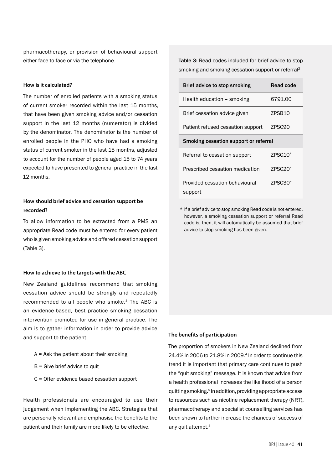pharmacotherapy, or provision of behavioural support either face to face or via the telephone.

#### **How is it calculated?**

The number of enrolled patients with a smoking status of current smoker recorded within the last 15 months, that have been given smoking advice and/or cessation support in the last 12 months (numerator) is divided by the denominator. The denominator is the number of enrolled people in the PHO who have had a smoking status of current smoker in the last 15 months, adjusted to account for the number of people aged 15 to 74 years expected to have presented to general practice in the last 12 months.

# **How should brief advice and cessation support be recorded?**

To allow information to be extracted from a PMS an appropriate Read code must be entered for every patient who is given smoking advice and offered cessation support (Table 3).

#### **How to achieve to the targets with the ABC**

New Zealand guidelines recommend that smoking cessation advice should be strongly and repeatedly recommended to all people who smoke.<sup>3</sup> The ABC is an evidence-based, best practice smoking cessation intervention promoted for use in general practice. The aim is to gather information in order to provide advice and support to the patient.

- $A =$  Ask the patient about their smoking
- $B =$  Give brief advice to quit
- C = Offer evidence based cessation support

Health professionals are encouraged to use their judgement when implementing the ABC. Strategies that are personally relevant and emphasise the benefits to the patient and their family are more likely to be effective.

Table 3: Read codes included for brief advice to stop smoking and smoking cessation support or referral2

| Brief advice to stop smoking              | Read code           |  |  |
|-------------------------------------------|---------------------|--|--|
| Health education - smoking                | 6791.00             |  |  |
| Brief cessation advice given              | ZPSB <sub>10</sub>  |  |  |
| Patient refused cessation support         | ZPSC90              |  |  |
| Smoking cessation support or referral     |                     |  |  |
| Referral to cessation support             | $ZPSC10^*$          |  |  |
| Prescribed cessation medication           | $ZPSC20*$           |  |  |
| Provided cessation behavioural<br>support | ZPSC30 <sup>*</sup> |  |  |

\* If a brief advice to stop smoking Read code is not entered, however, a smoking cessation support or referral Read code is, then, it will automatically be assumed that brief advice to stop smoking has been given.

#### **The benefits of participation**

The proportion of smokers in New Zealand declined from 24.4% in 2006 to 21.8% in 2009.4 In order to continue this trend it is important that primary care continues to push the "quit smoking" message. It is known that advice from a health professional increases the likelihood of a person quitting smoking.5 In addition, providing appropriate access to resources such as nicotine replacement therapy (NRT), pharmacotherapy and specialist counselling services has been shown to further increase the chances of success of any quit attempt.<sup>5</sup>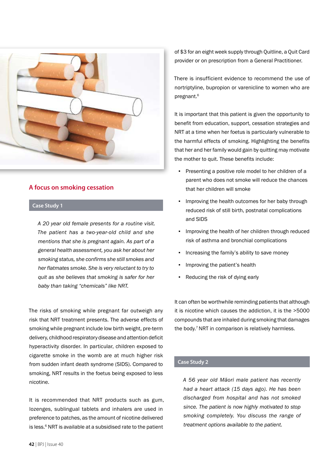

# **A focus on smoking cessation**

## **Case Study 1**

*A 20 year old female presents for a routine visit. The patient has a two-year-old child and she mentions that she is pregnant again. As part of a general health assessment, you ask her about her smoking status, she confirms she still smokes and her flatmates smoke. She is very reluctant to try to quit as she believes that smoking is safer for her baby than taking "chemicals" like NRT.* 

The risks of smoking while pregnant far outweigh any risk that NRT treatment presents. The adverse effects of smoking while pregnant include low birth weight, pre-term delivery, childhood respiratory disease and attention deficit hyperactivity disorder. In particular, children exposed to cigarette smoke in the womb are at much higher risk from sudden infant death syndrome (SIDS). Compared to smoking, NRT results in the foetus being exposed to less nicotine.

It is recommended that NRT products such as gum, lozenges, sublingual tablets and inhalers are used in preference to patches, as the amount of nicotine delivered is less.<sup>6</sup> NRT is available at a subsidised rate to the patient

of \$3 for an eight week supply through Quitline, a Quit Card provider or on prescription from a General Practitioner.

There is insufficient evidence to recommend the use of nortriptyline, bupropion or varenicline to women who are pregnant.6

It is important that this patient is given the opportunity to benefit from education, support, cessation strategies and NRT at a time when her foetus is particularly vulnerable to the harmful effects of smoking. Highlighting the benefits that her and her family would gain by quitting may motivate the mother to quit. These benefits include:

- Presenting a positive role model to her children of a parent who does not smoke will reduce the chances that her children will smoke
- Improving the health outcomes for her baby through reduced risk of still birth, postnatal complications and SIDS
- Improving the health of her children through reduced risk of asthma and bronchial complications
- **•** Increasing the family's ability to save money
- **·** Improving the patient's health
- Reducing the risk of dying early

It can often be worthwhile reminding patients that although it is nicotine which causes the addiction, it is the >5000 compounds that are inhaled during smoking that damages the body.<sup>7</sup> NRT in comparison is relatively harmless.

## **Case Study 2**

*A 56 year old Māori male patient has recently had a heart attack (15 days ago). He has been discharged from hospital and has not smoked since. The patient is now highly motivated to stop smoking completely. You discuss the range of treatment options available to the patient.*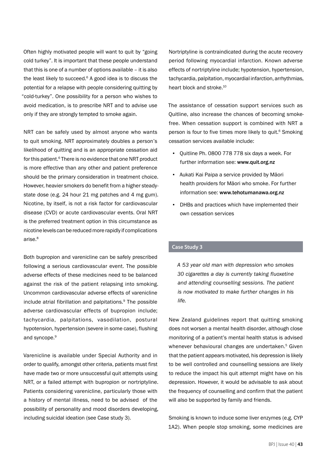Often highly motivated people will want to quit by "going cold turkey". It is important that these people understand that this is one of a number of options available – it is also the least likely to succeed.<sup>6</sup> A good idea is to discuss the potential for a relapse with people considering quitting by "cold-turkey". One possibility for a person who wishes to avoid medication, is to prescribe NRT and to advise use only if they are strongly tempted to smoke again.

NRT can be safely used by almost anyone who wants to quit smoking. NRT approximately doubles a person's likelihood of quitting and is an appropriate cessation aid for this patient.<sup>6</sup> There is no evidence that one NRT product is more effective than any other and patient preference should be the primary consideration in treatment choice. However, heavier smokers do benefit from a higher steadystate dose (e.g. 24 hour 21 mg patches and 4 mg gum). Nicotine, by itself, is not a risk factor for cardiovascular disease (CVD) or acute cardiovascular events. Oral NRT is the preferred treatment option in this circumstance as nicotine levels can be reduced more rapidly if complications arise.8

Both bupropion and varenicline can be safely prescribed following a serious cardiovascular event. The possible adverse effects of these medicines need to be balanced against the risk of the patient relapsing into smoking. Uncommon cardiovascular adverse effects of varenicline include atrial fibrillation and palpitations.<sup>9</sup> The possible adverse cardiovascular effects of bupropion include; tachycardia, palpitations, vasodilation, postural hypotension, hypertension (severe in some case), flushing and syncope.<sup>9</sup>

Varenicline is available under Special Authority and in order to qualify, amongst other criteria, patients must first have made two or more unsuccessful quit attempts using NRT, or a failed attempt with bupropion or nortriptyline. Patients considering varenicline, particularly those with a history of mental illness, need to be advised of the possibility of personality and mood disorders developing, including suicidal ideation (see Case study 3).

Nortriptyline is contraindicated during the acute recovery period following myocardial infarction. Known adverse effects of nortriptyline include; hypotension, hypertension, tachycardia, palpitation, myocardial infarction, arrhythmias, heart block and stroke.<sup>10</sup>

The assistance of cessation support services such as Quitline, also increase the chances of becoming smokefree. When cessation support is combined with NRT a person is four to five times more likely to quit.<sup>6</sup> Smoking cessation services available include:

- Quitline Ph. 0800 778 778 six days a week. For further information see: www.quit.org.nz
- Aukati Kai Paipa a service provided by Māori health providers for Māori who smoke. For further information see: www.tehotumanawa.org.nz
- **DHBs and practices which have implemented their** own cessation services

# **Case Study 3**

*A 53 year old man with depression who smokes 30 cigarettes a day is currently taking fluoxetine and attending counselling sessions. The patient is now motivated to make further changes in his life.*

New Zealand guidelines report that quitting smoking does not worsen a mental health disorder, although close monitoring of a patient's mental health status is advised whenever behavioural changes are undertaken.<sup>5</sup> Given that the patient appears motivated, his depression is likely to be well controlled and counselling sessions are likely to reduce the impact his quit attempt might have on his depression. However, it would be advisable to ask about the frequency of counselling and confirm that the patient will also be supported by family and friends.

Smoking is known to induce some liver enzymes (e.g. CYP 1A2). When people stop smoking, some medicines are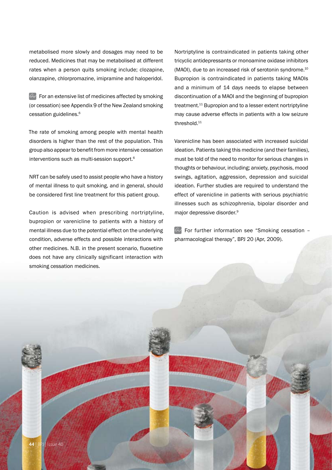metabolised more slowly and dosages may need to be reduced. Medicines that may be metabolised at different rates when a person quits smoking include; clozapine, olanzapine, chlorpromazine, imipramine and haloperidol.

 $\mathbb{G}$  For an extensive list of medicines affected by smoking (or cessation) see Appendix 9 of the New Zealand smoking cessation guidelines.6

The rate of smoking among people with mental health disorders is higher than the rest of the population. This group also appear to benefit from more intensive cessation interventions such as multi-session support.6

NRT can be safely used to assist people who have a history of mental illness to quit smoking, and in general, should be considered first line treatment for this patient group.

Caution is advised when prescribing nortriptyline, bupropion or varenicline to patients with a history of mental illness due to the potential effect on the underlying condition, adverse effects and possible interactions with other medicines. N.B. in the present scenario, fluoxetine does not have any clinically significant interaction with smoking cessation medicines.

Nortriptyline is contraindicated in patients taking other tricyclic antidepressants or monoamine oxidase inhibitors (MAOI), due to an increased risk of serotonin syndrome.10 Bupropion is contraindicated in patients taking MAOIs and a minimum of 14 days needs to elapse between discontinuation of a MAOI and the beginning of bupropion treatment.<sup>11</sup> Bupropion and to a lesser extent nortriptyline may cause adverse effects in patients with a low seizure threshold.<sup>11</sup>

Varenicline has been associated with increased suicidal ideation. Patients taking this medicine (and their families), must be told of the need to monitor for serious changes in thoughts or behaviour, including; anxiety, psychosis, mood swings, agitation, aggression, depression and suicidal ideation. Further studies are required to understand the effect of varenicline in patients with serious psychiatric illnesses such as schizophrenia, bipolar disorder and major depressive disorder.9

 $\mathbb{G}$  For further information see "Smoking cessation pharmacological therapy", BPJ 20 (Apr, 2009).